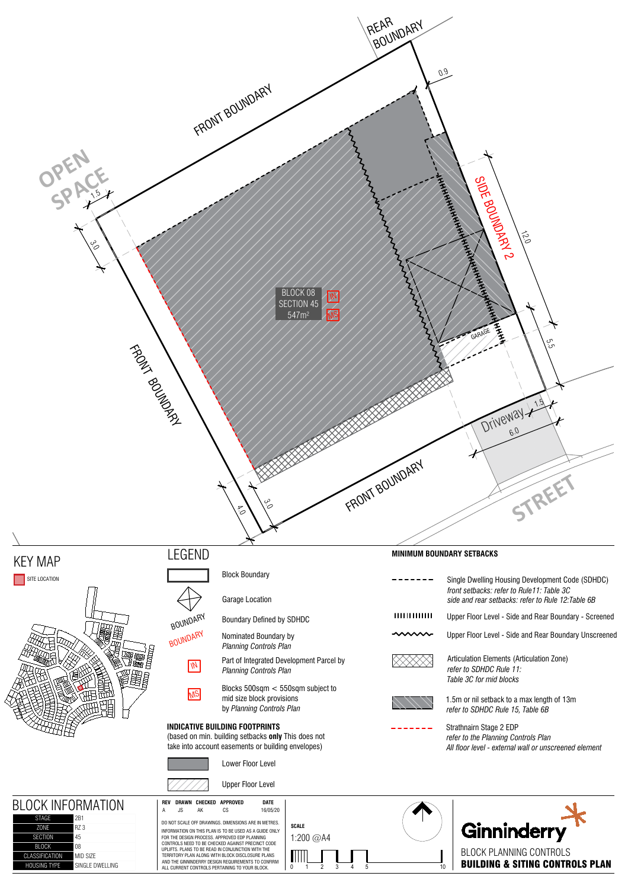